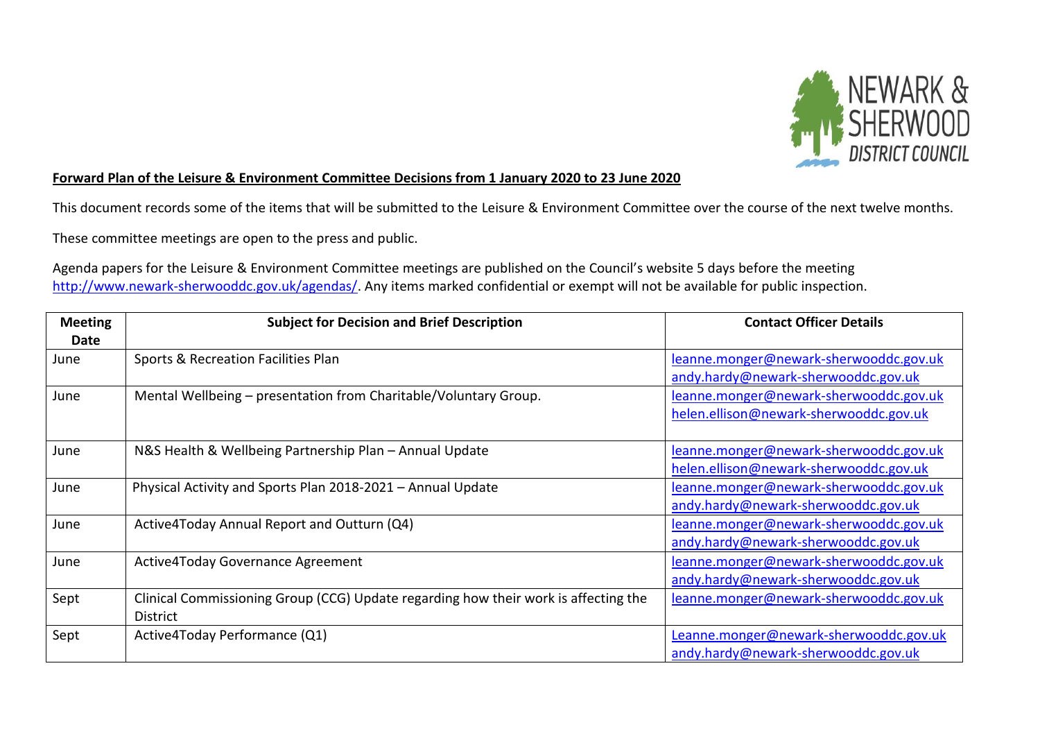

## **Forward Plan of the Leisure & Environment Committee Decisions from 1 January 2020 to 23 June 2020**

This document records some of the items that will be submitted to the Leisure & Environment Committee over the course of the next twelve months.

These committee meetings are open to the press and public.

Agenda papers for the Leisure & Environment Committee meetings are published on the Council's website 5 days before the meeting [http://www.newark-sherwooddc.gov.uk/agendas/.](http://www.newark-sherwooddc.gov.uk/agendas/) Any items marked confidential or exempt will not be available for public inspection.

| <b>Meeting</b><br>Date | <b>Subject for Decision and Brief Description</b>                                               | <b>Contact Officer Details</b>                                                   |
|------------------------|-------------------------------------------------------------------------------------------------|----------------------------------------------------------------------------------|
| June                   | Sports & Recreation Facilities Plan                                                             | leanne.monger@newark-sherwooddc.gov.uk<br>andy.hardy@newark-sherwooddc.gov.uk    |
| June                   | Mental Wellbeing - presentation from Charitable/Voluntary Group.                                | leanne.monger@newark-sherwooddc.gov.uk<br>helen.ellison@newark-sherwooddc.gov.uk |
| June                   | N&S Health & Wellbeing Partnership Plan - Annual Update                                         | leanne.monger@newark-sherwooddc.gov.uk<br>helen.ellison@newark-sherwooddc.gov.uk |
| June                   | Physical Activity and Sports Plan 2018-2021 - Annual Update                                     | leanne.monger@newark-sherwooddc.gov.uk<br>andy.hardy@newark-sherwooddc.gov.uk    |
| June                   | Active4Today Annual Report and Outturn (Q4)                                                     | leanne.monger@newark-sherwooddc.gov.uk<br>andy.hardy@newark-sherwooddc.gov.uk    |
| June                   | Active4Today Governance Agreement                                                               | leanne.monger@newark-sherwooddc.gov.uk<br>andy.hardy@newark-sherwooddc.gov.uk    |
| Sept                   | Clinical Commissioning Group (CCG) Update regarding how their work is affecting the<br>District | leanne.monger@newark-sherwooddc.gov.uk                                           |
| Sept                   | Active4Today Performance (Q1)                                                                   | Leanne.monger@newark-sherwooddc.gov.uk<br>andy.hardy@newark-sherwooddc.gov.uk    |